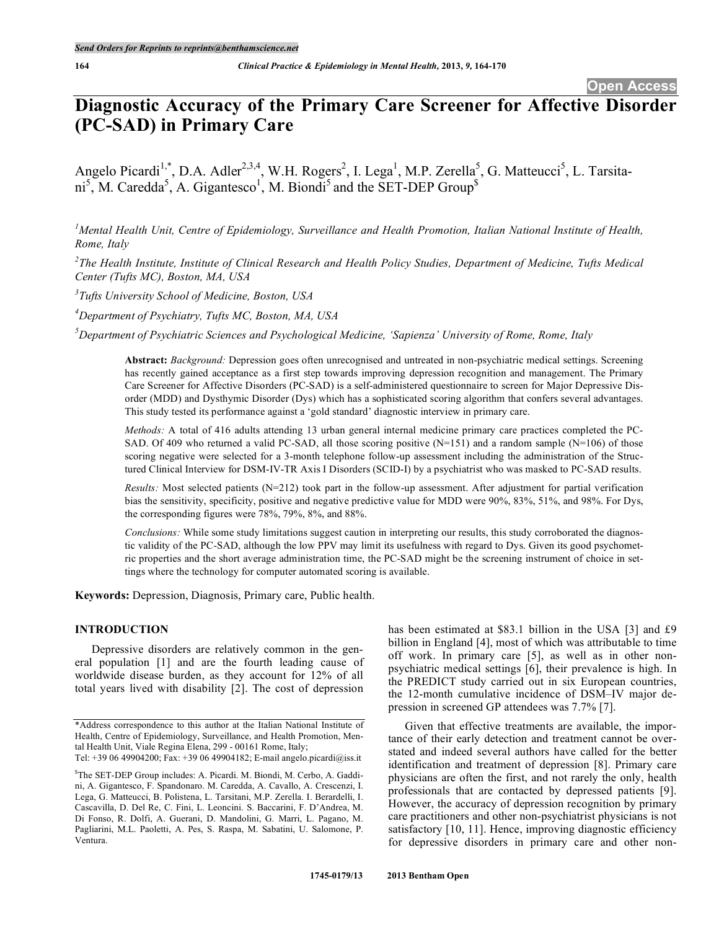# **Diagnostic Accuracy of the Primary Care Screener for Affective Disorder (PC-SAD) in Primary Care**

Angelo Picardi<sup>1,\*</sup>, D.A. Adler<sup>2,3,4</sup>, W.H. Rogers<sup>2</sup>, I. Lega<sup>1</sup>, M.P. Zerella<sup>5</sup>, G. Matteucci<sup>5</sup>, L. Tarsitani<sup>5</sup>, M. Caredda<sup>5</sup>, A. Gigantesco<sup>1</sup>, M. Biondi<sup>5</sup> and the SET-DEP Group<sup>\$</sup>

<sup>1</sup>Mental Health Unit, Centre of Epidemiology, Surveillance and Health Promotion, Italian National Institute of Health, *Rome, Italy*

 $^{2}$ The Health Institute, Institute of Clinical Research and Health Policy Studies, Department of Medicine, Tufts Medical *Center (Tufts MC), Boston, MA, USA*

*3 Tufts University School of Medicine, Boston, USA*

*4 Department of Psychiatry, Tufts MC, Boston, MA, USA*

*5 Department of Psychiatric Sciences and Psychological Medicine, 'Sapienza' University of Rome, Rome, Italy*

**Abstract:** *Background:* Depression goes often unrecognised and untreated in non-psychiatric medical settings. Screening has recently gained acceptance as a first step towards improving depression recognition and management. The Primary Care Screener for Affective Disorders (PC-SAD) is a self-administered questionnaire to screen for Major Depressive Disorder (MDD) and Dysthymic Disorder (Dys) which has a sophisticated scoring algorithm that confers several advantages. This study tested its performance against a 'gold standard' diagnostic interview in primary care.

*Methods:* A total of 416 adults attending 13 urban general internal medicine primary care practices completed the PC-SAD. Of 409 who returned a valid PC-SAD, all those scoring positive  $(N=151)$  and a random sample  $(N=106)$  of those scoring negative were selected for a 3-month telephone follow-up assessment including the administration of the Structured Clinical Interview for DSM-IV-TR Axis I Disorders (SCID-I) by a psychiatrist who was masked to PC-SAD results.

*Results:* Most selected patients (N=212) took part in the follow-up assessment. After adjustment for partial verification bias the sensitivity, specificity, positive and negative predictive value for MDD were 90%, 83%, 51%, and 98%. For Dys, the corresponding figures were 78%, 79%, 8%, and 88%.

*Conclusions:* While some study limitations suggest caution in interpreting our results, this study corroborated the diagnostic validity of the PC-SAD, although the low PPV may limit its usefulness with regard to Dys. Given its good psychometric properties and the short average administration time, the PC-SAD might be the screening instrument of choice in settings where the technology for computer automated scoring is available.

**Keywords:** Depression, Diagnosis, Primary care, Public health.

# **INTRODUCTION**

Depressive disorders are relatively common in the general population [1] and are the fourth leading cause of worldwide disease burden, as they account for 12% of all total years lived with disability [2]. The cost of depression

has been estimated at \$83.1 billion in the USA [3] and £9 billion in England [4], most of which was attributable to time off work. In primary care [5], as well as in other nonpsychiatric medical settings [6], their prevalence is high. In the PREDICT study carried out in six European countries, the 12-month cumulative incidence of DSM–IV major depression in screened GP attendees was 7.7% [7].

Given that effective treatments are available, the importance of their early detection and treatment cannot be overstated and indeed several authors have called for the better identification and treatment of depression [8]. Primary care physicians are often the first, and not rarely the only, health professionals that are contacted by depressed patients [9]. However, the accuracy of depression recognition by primary care practitioners and other non-psychiatrist physicians is not satisfactory [10, 11]. Hence, improving diagnostic efficiency for depressive disorders in primary care and other non-

<sup>\*</sup>Address correspondence to this author at the Italian National Institute of Health, Centre of Epidemiology, Surveillance, and Health Promotion, Mental Health Unit, Viale Regina Elena, 299 - 00161 Rome, Italy;

Tel: +39 06 49904200; Fax: +39 06 49904182; E-mail angelo.picardi@iss.it

<sup>\$</sup> The SET-DEP Group includes: A. Picardi. M. Biondi, M. Cerbo, A. Gaddini, A. Gigantesco, F. Spandonaro. M. Caredda, A. Cavallo, A. Crescenzi, I. Lega, G. Matteucci, B. Polistena, L. Tarsitani, M.P. Zerella. I. Berardelli, I. Cascavilla, D. Del Re, C. Fini, L. Leoncini. S. Baccarini, F. D'Andrea, M. Di Fonso, R. Dolfi, A. Guerani, D. Mandolini, G. Marri, L. Pagano, M. Pagliarini, M.L. Paoletti, A. Pes, S. Raspa, M. Sabatini, U. Salomone, P. Ventura.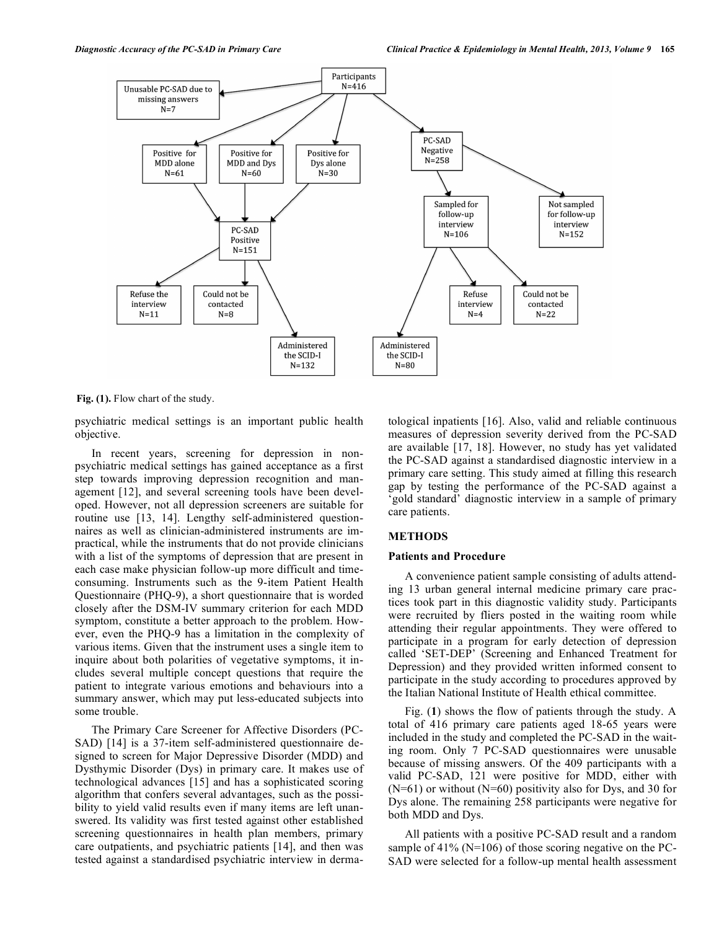

**Fig. (1).** Flow chart of the study.

psychiatric medical settings is an important public health objective.

In recent years, screening for depression in nonpsychiatric medical settings has gained acceptance as a first step towards improving depression recognition and management [12], and several screening tools have been developed. However, not all depression screeners are suitable for routine use [13, 14]. Lengthy self-administered questionnaires as well as clinician-administered instruments are impractical, while the instruments that do not provide clinicians with a list of the symptoms of depression that are present in each case make physician follow-up more difficult and timeconsuming. Instruments such as the 9-item Patient Health Questionnaire (PHQ-9), a short questionnaire that is worded closely after the DSM-IV summary criterion for each MDD symptom, constitute a better approach to the problem. However, even the PHQ-9 has a limitation in the complexity of various items. Given that the instrument uses a single item to inquire about both polarities of vegetative symptoms, it includes several multiple concept questions that require the patient to integrate various emotions and behaviours into a summary answer, which may put less-educated subjects into some trouble.

The Primary Care Screener for Affective Disorders (PC-SAD) [14] is a 37-item self-administered questionnaire designed to screen for Major Depressive Disorder (MDD) and Dysthymic Disorder (Dys) in primary care. It makes use of technological advances [15] and has a sophisticated scoring algorithm that confers several advantages, such as the possibility to yield valid results even if many items are left unanswered. Its validity was first tested against other established screening questionnaires in health plan members, primary care outpatients, and psychiatric patients [14], and then was tested against a standardised psychiatric interview in dermatological inpatients [16]. Also, valid and reliable continuous measures of depression severity derived from the PC-SAD are available [17, 18]. However, no study has yet validated the PC-SAD against a standardised diagnostic interview in a primary care setting. This study aimed at filling this research gap by testing the performance of the PC-SAD against a 'gold standard' diagnostic interview in a sample of primary care patients.

# **METHODS**

# **Patients and Procedure**

A convenience patient sample consisting of adults attending 13 urban general internal medicine primary care practices took part in this diagnostic validity study. Participants were recruited by fliers posted in the waiting room while attending their regular appointments. They were offered to participate in a program for early detection of depression called 'SET-DEP' (Screening and Enhanced Treatment for Depression) and they provided written informed consent to participate in the study according to procedures approved by the Italian National Institute of Health ethical committee.

Fig. (**1**) shows the flow of patients through the study. A total of 416 primary care patients aged 18-65 years were included in the study and completed the PC-SAD in the waiting room. Only 7 PC-SAD questionnaires were unusable because of missing answers. Of the 409 participants with a valid PC-SAD, 121 were positive for MDD, either with  $(N=61)$  or without  $(N=60)$  positivity also for Dys, and 30 for Dys alone. The remaining 258 participants were negative for both MDD and Dys.

All patients with a positive PC-SAD result and a random sample of  $41\%$  (N=106) of those scoring negative on the PC-SAD were selected for a follow-up mental health assessment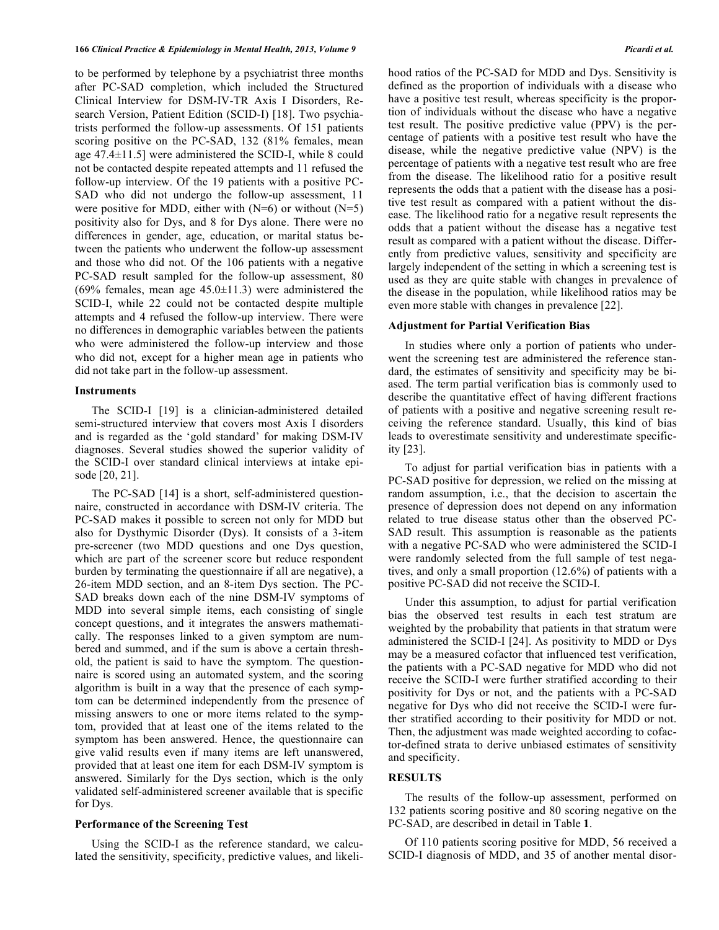to be performed by telephone by a psychiatrist three months after PC-SAD completion, which included the Structured Clinical Interview for DSM-IV-TR Axis I Disorders, Research Version, Patient Edition (SCID-I) [18]. Two psychiatrists performed the follow-up assessments. Of 151 patients scoring positive on the PC-SAD, 132 (81% females, mean age 47.4±11.5] were administered the SCID-I, while 8 could not be contacted despite repeated attempts and 11 refused the follow-up interview. Of the 19 patients with a positive PC-SAD who did not undergo the follow-up assessment, 11 were positive for MDD, either with  $(N=6)$  or without  $(N=5)$ positivity also for Dys, and 8 for Dys alone. There were no differences in gender, age, education, or marital status between the patients who underwent the follow-up assessment and those who did not. Of the 106 patients with a negative PC-SAD result sampled for the follow-up assessment, 80 (69% females, mean age  $45.0 \pm 11.3$ ) were administered the SCID-I, while 22 could not be contacted despite multiple attempts and 4 refused the follow-up interview. There were no differences in demographic variables between the patients who were administered the follow-up interview and those who did not, except for a higher mean age in patients who did not take part in the follow-up assessment.

### **Instruments**

The SCID-I [19] is a clinician-administered detailed semi-structured interview that covers most Axis I disorders and is regarded as the 'gold standard' for making DSM-IV diagnoses. Several studies showed the superior validity of the SCID-I over standard clinical interviews at intake episode [20, 21].

The PC-SAD [14] is a short, self-administered questionnaire, constructed in accordance with DSM-IV criteria. The PC-SAD makes it possible to screen not only for MDD but also for Dysthymic Disorder (Dys). It consists of a 3-item pre-screener (two MDD questions and one Dys question, which are part of the screener score but reduce respondent burden by terminating the questionnaire if all are negative), a 26-item MDD section, and an 8-item Dys section. The PC-SAD breaks down each of the nine DSM-IV symptoms of MDD into several simple items, each consisting of single concept questions, and it integrates the answers mathematically. The responses linked to a given symptom are numbered and summed, and if the sum is above a certain threshold, the patient is said to have the symptom. The questionnaire is scored using an automated system, and the scoring algorithm is built in a way that the presence of each symptom can be determined independently from the presence of missing answers to one or more items related to the symptom, provided that at least one of the items related to the symptom has been answered. Hence, the questionnaire can give valid results even if many items are left unanswered, provided that at least one item for each DSM-IV symptom is answered. Similarly for the Dys section, which is the only validated self-administered screener available that is specific for Dys.

# **Performance of the Screening Test**

Using the SCID-I as the reference standard, we calculated the sensitivity, specificity, predictive values, and likelihood ratios of the PC-SAD for MDD and Dys. Sensitivity is defined as the proportion of individuals with a disease who have a positive test result, whereas specificity is the proportion of individuals without the disease who have a negative test result. The positive predictive value (PPV) is the percentage of patients with a positive test result who have the disease, while the negative predictive value (NPV) is the percentage of patients with a negative test result who are free from the disease. The likelihood ratio for a positive result represents the odds that a patient with the disease has a positive test result as compared with a patient without the disease. The likelihood ratio for a negative result represents the odds that a patient without the disease has a negative test result as compared with a patient without the disease. Differently from predictive values, sensitivity and specificity are largely independent of the setting in which a screening test is used as they are quite stable with changes in prevalence of the disease in the population, while likelihood ratios may be even more stable with changes in prevalence [22].

### **Adjustment for Partial Verification Bias**

In studies where only a portion of patients who underwent the screening test are administered the reference standard, the estimates of sensitivity and specificity may be biased. The term partial verification bias is commonly used to describe the quantitative effect of having different fractions of patients with a positive and negative screening result receiving the reference standard. Usually, this kind of bias leads to overestimate sensitivity and underestimate specificity [23].

To adjust for partial verification bias in patients with a PC-SAD positive for depression, we relied on the missing at random assumption, i.e., that the decision to ascertain the presence of depression does not depend on any information related to true disease status other than the observed PC-SAD result. This assumption is reasonable as the patients with a negative PC-SAD who were administered the SCID-I were randomly selected from the full sample of test negatives, and only a small proportion (12.6%) of patients with a positive PC-SAD did not receive the SCID-I.

Under this assumption, to adjust for partial verification bias the observed test results in each test stratum are weighted by the probability that patients in that stratum were administered the SCID-I [24]. As positivity to MDD or Dys may be a measured cofactor that influenced test verification, the patients with a PC-SAD negative for MDD who did not receive the SCID-I were further stratified according to their positivity for Dys or not, and the patients with a PC-SAD negative for Dys who did not receive the SCID-I were further stratified according to their positivity for MDD or not. Then, the adjustment was made weighted according to cofactor-defined strata to derive unbiased estimates of sensitivity and specificity.

# **RESULTS**

The results of the follow-up assessment, performed on 132 patients scoring positive and 80 scoring negative on the PC-SAD, are described in detail in Table **1**.

Of 110 patients scoring positive for MDD, 56 received a SCID-I diagnosis of MDD, and 35 of another mental disor-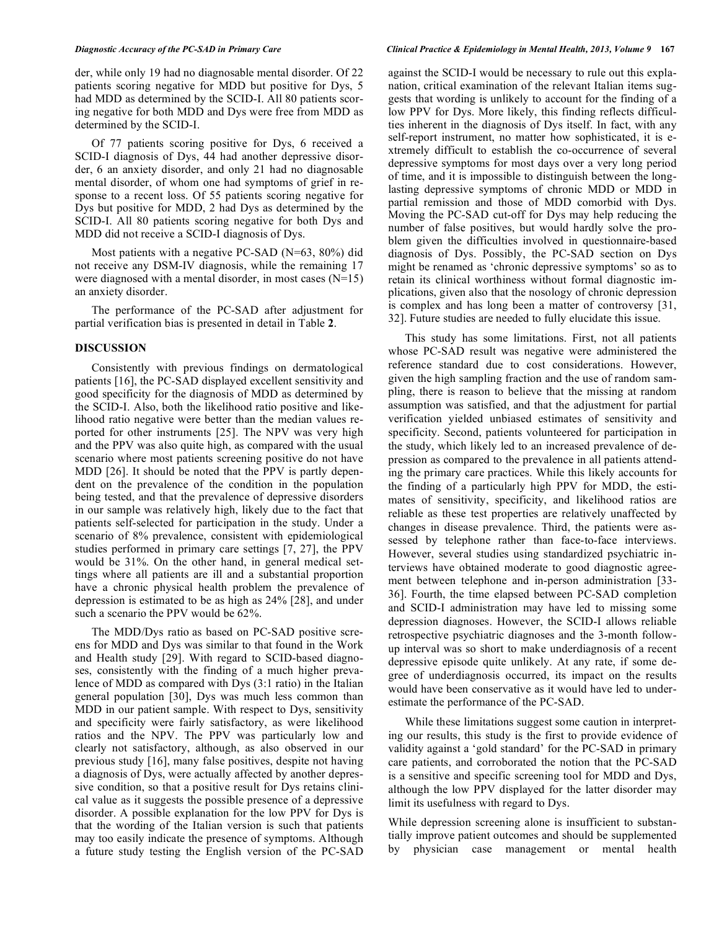der, while only 19 had no diagnosable mental disorder. Of 22 patients scoring negative for MDD but positive for Dys, 5 had MDD as determined by the SCID-I. All 80 patients scoring negative for both MDD and Dys were free from MDD as determined by the SCID-I.

Of 77 patients scoring positive for Dys, 6 received a SCID-I diagnosis of Dys, 44 had another depressive disorder, 6 an anxiety disorder, and only 21 had no diagnosable mental disorder, of whom one had symptoms of grief in response to a recent loss. Of 55 patients scoring negative for Dys but positive for MDD, 2 had Dys as determined by the SCID-I. All 80 patients scoring negative for both Dys and MDD did not receive a SCID-I diagnosis of Dys.

Most patients with a negative PC-SAD (N=63, 80%) did not receive any DSM-IV diagnosis, while the remaining 17 were diagnosed with a mental disorder, in most cases (N=15) an anxiety disorder.

The performance of the PC-SAD after adjustment for partial verification bias is presented in detail in Table **2**.

# **DISCUSSION**

Consistently with previous findings on dermatological patients [16], the PC-SAD displayed excellent sensitivity and good specificity for the diagnosis of MDD as determined by the SCID-I. Also, both the likelihood ratio positive and likelihood ratio negative were better than the median values reported for other instruments [25]. The NPV was very high and the PPV was also quite high, as compared with the usual scenario where most patients screening positive do not have MDD [26]. It should be noted that the PPV is partly dependent on the prevalence of the condition in the population being tested, and that the prevalence of depressive disorders in our sample was relatively high, likely due to the fact that patients self-selected for participation in the study. Under a scenario of 8% prevalence, consistent with epidemiological studies performed in primary care settings [7, 27], the PPV would be 31%. On the other hand, in general medical settings where all patients are ill and a substantial proportion have a chronic physical health problem the prevalence of depression is estimated to be as high as 24% [28], and under such a scenario the PPV would be 62%.

The MDD/Dys ratio as based on PC-SAD positive screens for MDD and Dys was similar to that found in the Work and Health study [29]. With regard to SCID-based diagnoses, consistently with the finding of a much higher prevalence of MDD as compared with Dys (3:1 ratio) in the Italian general population [30], Dys was much less common than MDD in our patient sample. With respect to Dys, sensitivity and specificity were fairly satisfactory, as were likelihood ratios and the NPV. The PPV was particularly low and clearly not satisfactory, although, as also observed in our previous study [16], many false positives, despite not having a diagnosis of Dys, were actually affected by another depressive condition, so that a positive result for Dys retains clinical value as it suggests the possible presence of a depressive disorder. A possible explanation for the low PPV for Dys is that the wording of the Italian version is such that patients may too easily indicate the presence of symptoms. Although a future study testing the English version of the PC-SAD against the SCID-I would be necessary to rule out this explanation, critical examination of the relevant Italian items suggests that wording is unlikely to account for the finding of a low PPV for Dys. More likely, this finding reflects difficulties inherent in the diagnosis of Dys itself. In fact, with any self-report instrument, no matter how sophisticated, it is extremely difficult to establish the co-occurrence of several depressive symptoms for most days over a very long period of time, and it is impossible to distinguish between the longlasting depressive symptoms of chronic MDD or MDD in partial remission and those of MDD comorbid with Dys. Moving the PC-SAD cut-off for Dys may help reducing the number of false positives, but would hardly solve the problem given the difficulties involved in questionnaire-based diagnosis of Dys. Possibly, the PC-SAD section on Dys might be renamed as 'chronic depressive symptoms' so as to retain its clinical worthiness without formal diagnostic implications, given also that the nosology of chronic depression is complex and has long been a matter of controversy [31, 32]. Future studies are needed to fully elucidate this issue.

This study has some limitations. First, not all patients whose PC-SAD result was negative were administered the reference standard due to cost considerations. However, given the high sampling fraction and the use of random sampling, there is reason to believe that the missing at random assumption was satisfied, and that the adjustment for partial verification yielded unbiased estimates of sensitivity and specificity. Second, patients volunteered for participation in the study, which likely led to an increased prevalence of depression as compared to the prevalence in all patients attending the primary care practices. While this likely accounts for the finding of a particularly high PPV for MDD, the estimates of sensitivity, specificity, and likelihood ratios are reliable as these test properties are relatively unaffected by changes in disease prevalence. Third, the patients were assessed by telephone rather than face-to-face interviews. However, several studies using standardized psychiatric interviews have obtained moderate to good diagnostic agreement between telephone and in-person administration [33- 36]. Fourth, the time elapsed between PC-SAD completion and SCID-I administration may have led to missing some depression diagnoses. However, the SCID-I allows reliable retrospective psychiatric diagnoses and the 3-month followup interval was so short to make underdiagnosis of a recent depressive episode quite unlikely. At any rate, if some degree of underdiagnosis occurred, its impact on the results would have been conservative as it would have led to underestimate the performance of the PC-SAD.

While these limitations suggest some caution in interpreting our results, this study is the first to provide evidence of validity against a 'gold standard' for the PC-SAD in primary care patients, and corroborated the notion that the PC-SAD is a sensitive and specific screening tool for MDD and Dys, although the low PPV displayed for the latter disorder may limit its usefulness with regard to Dys.

While depression screening alone is insufficient to substantially improve patient outcomes and should be supplemented by physician case management or mental health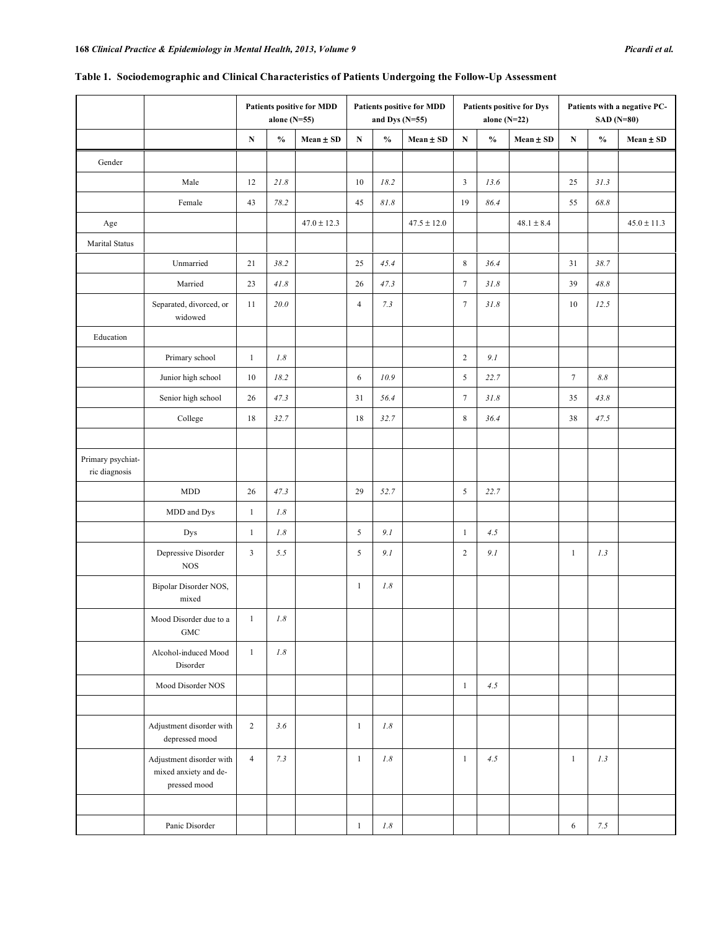| Table 1. Sociodemographic and Clinical Characteristics of Patients Undergoing the Follow-Up Assessment |  |
|--------------------------------------------------------------------------------------------------------|--|
|                                                                                                        |  |

|                                    |                                                                   | Patients positive for MDD<br>alone (N=55) |                 | <b>Patients positive for MDD</b><br>and Dys $(N=55)$ |                |                                    | Patients positive for Dys<br>alone $(N=22)$ |                  |                                    | Patients with a negative PC-<br><b>SAD</b> (N=80) |                |                                    |                 |
|------------------------------------|-------------------------------------------------------------------|-------------------------------------------|-----------------|------------------------------------------------------|----------------|------------------------------------|---------------------------------------------|------------------|------------------------------------|---------------------------------------------------|----------------|------------------------------------|-----------------|
|                                    |                                                                   | ${\bf N}$                                 | $\frac{0}{0}$   | Mean ± SD                                            | ${\bf N}$      | $\mathbf{0}_{\mathbf{0}}^{\prime}$ | Mean ± SD                                   | $\mathbf N$      | $\mathbf{0}_{\mathbf{0}}^{\prime}$ | $Mean \pm SD$                                     | ${\bf N}$      | $\mathbf{0}_{\mathbf{0}}^{\prime}$ | $Mean \pm SD$   |
| Gender                             |                                                                   |                                           |                 |                                                      |                |                                    |                                             |                  |                                    |                                                   |                |                                    |                 |
|                                    | Male                                                              | 12                                        | 21.8            |                                                      | 10             | 18.2                               |                                             | $\mathfrak{Z}$   | 13.6                               |                                                   | 25             | 31.3                               |                 |
|                                    | Female                                                            | 43                                        | 78.2            |                                                      | 45             | $81.8\,$                           |                                             | 19               | 86.4                               |                                                   | 55             | 68.8                               |                 |
| Age                                |                                                                   |                                           |                 | $47.0 \pm 12.3$                                      |                |                                    | $47.5 \pm 12.0$                             |                  |                                    | $48.1 \pm 8.4$                                    |                |                                    | $45.0 \pm 11.3$ |
| <b>Marital Status</b>              |                                                                   |                                           |                 |                                                      |                |                                    |                                             |                  |                                    |                                                   |                |                                    |                 |
|                                    | Unmarried                                                         | 21                                        | 38.2            |                                                      | 25             | 45.4                               |                                             | $\,8\,$          | 36.4                               |                                                   | 31             | 38.7                               |                 |
|                                    | Married                                                           | 23                                        | $41.8\,$        |                                                      | 26             | 47.3                               |                                             | $\boldsymbol{7}$ | 31.8                               |                                                   | 39             | 48.8                               |                 |
|                                    | Separated, divorced, or<br>widowed                                | 11                                        | 20.0            |                                                      | $\overline{4}$ | 7.3                                |                                             | $\boldsymbol{7}$ | 31.8                               |                                                   | $10\,$         | 12.5                               |                 |
| Education                          |                                                                   |                                           |                 |                                                      |                |                                    |                                             |                  |                                    |                                                   |                |                                    |                 |
|                                    | Primary school                                                    | $\mathbf{1}$                              | $I.8$           |                                                      |                |                                    |                                             | $\overline{c}$   | 9.1                                |                                                   |                |                                    |                 |
|                                    | Junior high school                                                | 10                                        | 18.2            |                                                      | $\sqrt{6}$     | 10.9                               |                                             | $\mathfrak s$    | 22.7                               |                                                   | $\overline{7}$ | $8.8\,$                            |                 |
|                                    | Senior high school                                                | 26                                        | 47.3            |                                                      | 31             | 56.4                               |                                             | $\boldsymbol{7}$ | 31.8                               |                                                   | 35             | 43.8                               |                 |
|                                    | College                                                           | $18\,$                                    | 32.7            |                                                      | 18             | 32.7                               |                                             | $\,$ 8 $\,$      | 36.4                               |                                                   | 38             | 47.5                               |                 |
|                                    |                                                                   |                                           |                 |                                                      |                |                                    |                                             |                  |                                    |                                                   |                |                                    |                 |
| Primary psychiat-<br>ric diagnosis |                                                                   |                                           |                 |                                                      |                |                                    |                                             |                  |                                    |                                                   |                |                                    |                 |
|                                    | <b>MDD</b>                                                        | 26                                        | 47.3            |                                                      | 29             | 52.7                               |                                             | $\sqrt{5}$       | 22.7                               |                                                   |                |                                    |                 |
|                                    | MDD and Dys                                                       | $\mathbf{1}$                              | $I.8$           |                                                      |                |                                    |                                             |                  |                                    |                                                   |                |                                    |                 |
|                                    | Dys                                                               | $\mathbf{1}$                              | $I.8$           |                                                      | $\sqrt{5}$     | 9.1                                |                                             | $\mathbf{1}$     | 4.5                                |                                                   |                |                                    |                 |
|                                    | Depressive Disorder<br><b>NOS</b>                                 | 3                                         | 5.5             |                                                      | $\sqrt{5}$     | 9.1                                |                                             | $\overline{c}$   | 9.1                                |                                                   | $\mathbf{1}$   | 1.3                                |                 |
|                                    | Bipolar Disorder NOS,<br>mixed                                    |                                           |                 |                                                      | $\mathbf{1}$   | 1.8                                |                                             |                  |                                    |                                                   |                |                                    |                 |
|                                    | Mood Disorder due to a<br>GMC                                     | $\frac{1}{2}$                             | $I.\mathcal{8}$ |                                                      |                |                                    |                                             |                  |                                    |                                                   |                |                                    |                 |
|                                    | Alcohol-induced Mood<br>Disorder                                  | $\mathbf{1}$                              | 1.8             |                                                      |                |                                    |                                             |                  |                                    |                                                   |                |                                    |                 |
|                                    | Mood Disorder NOS                                                 |                                           |                 |                                                      |                |                                    |                                             | $\mathbf{1}$     | 4.5                                |                                                   |                |                                    |                 |
|                                    |                                                                   |                                           |                 |                                                      |                |                                    |                                             |                  |                                    |                                                   |                |                                    |                 |
|                                    | Adjustment disorder with<br>depressed mood                        | $\overline{2}$                            | 3.6             |                                                      | $\mathbf{1}$   | $I.8$                              |                                             |                  |                                    |                                                   |                |                                    |                 |
|                                    | Adjustment disorder with<br>mixed anxiety and de-<br>pressed mood | $\overline{4}$                            | 7.3             |                                                      | $\mathbf{1}$   | $I.\mathcal{8}$                    |                                             | $\mathbf{1}$     | 4.5                                |                                                   | $\mathbf{1}$   | 1.3                                |                 |
|                                    |                                                                   |                                           |                 |                                                      |                |                                    |                                             |                  |                                    |                                                   |                |                                    |                 |
|                                    | Panic Disorder                                                    |                                           |                 |                                                      | $\mathbf{1}$   | $1.8\,$                            |                                             |                  |                                    |                                                   | 6              | 7.5                                |                 |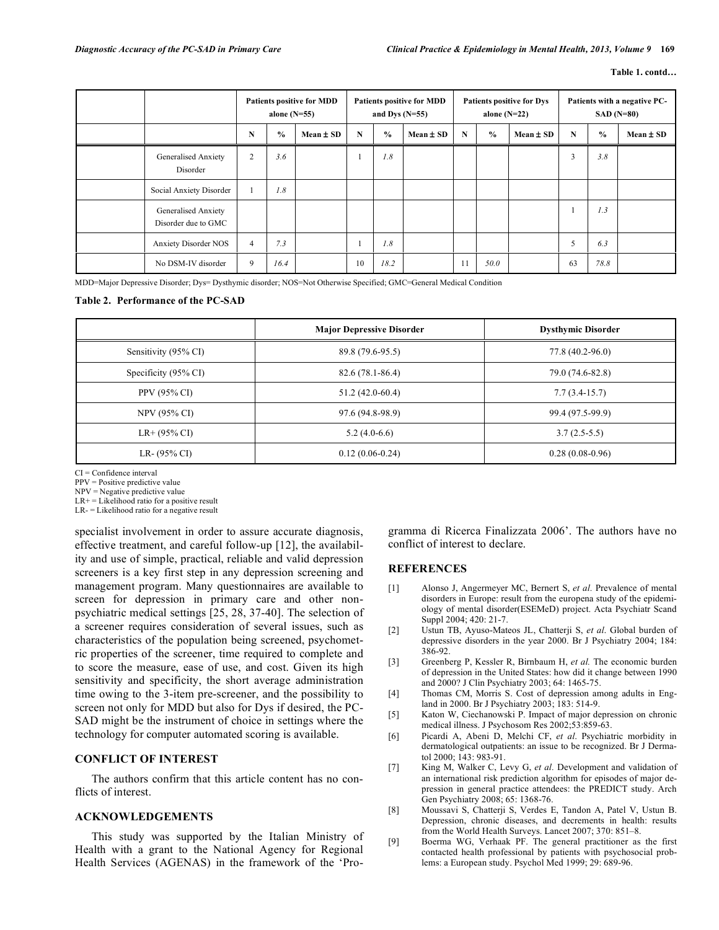|                                            | <b>Patients positive for MDD</b><br>alone $(N=55)$ |               | <b>Patients positive for MDD</b><br>and Dys $(N=55)$ |    |               | <b>Patients positive for Dys</b><br>alone $(N=22)$ |             |               | Patients with a negative PC-<br>$SAD(N=80)$ |             |               |               |
|--------------------------------------------|----------------------------------------------------|---------------|------------------------------------------------------|----|---------------|----------------------------------------------------|-------------|---------------|---------------------------------------------|-------------|---------------|---------------|
|                                            | N                                                  | $\frac{0}{0}$ | $Mean \pm SD$                                        | N  | $\frac{0}{0}$ | $Mean \pm SD$                                      | $\mathbf N$ | $\frac{0}{0}$ | $Mean \pm SD$                               | $\mathbf N$ | $\frac{0}{0}$ | $Mean \pm SD$ |
| Generalised Anxiety<br>Disorder            | 2                                                  | 3.6           |                                                      |    | 1.8           |                                                    |             |               |                                             | 3           | 3.8           |               |
| Social Anxiety Disorder                    |                                                    | 1.8           |                                                      |    |               |                                                    |             |               |                                             |             |               |               |
| Generalised Anxiety<br>Disorder due to GMC |                                                    |               |                                                      |    |               |                                                    |             |               |                                             |             | 1.3           |               |
| <b>Anxiety Disorder NOS</b>                | $\overline{4}$                                     | 7.3           |                                                      |    | 1.8           |                                                    |             |               |                                             | 5           | 6.3           |               |
| No DSM-IV disorder                         | 9                                                  | 16.4          |                                                      | 10 | 18.2          |                                                    | 11          | 50.0          |                                             | 63          | 78.8          |               |

MDD=Major Depressive Disorder; Dys= Dysthymic disorder; NOS=Not Otherwise Specified; GMC=General Medical Condition

# **Table 2. Performance of the PC-SAD**

|                                 | <b>Major Depressive Disorder</b> | <b>Dysthymic Disorder</b> |
|---------------------------------|----------------------------------|---------------------------|
| Sensitivity (95% CI)            | 89.8 (79.6-95.5)                 | 77.8 (40.2-96.0)          |
| Specificity $(95\% \text{ CI})$ | $82.6(78.1 - 86.4)$              | 79.0 (74.6-82.8)          |
| PPV (95% CI)                    | $51.2(42.0-60.4)$                | $7.7(3.4-15.7)$           |
| <b>NPV (95% CI)</b>             | 97.6 (94.8-98.9)                 | 99.4 (97.5-99.9)          |
| $LR+$ (95% CI)                  | $5.2(4.0-6.6)$                   | $3.7(2.5-5.5)$            |
| LR- $(95\% \text{ CI})$         | $0.12(0.06-0.24)$                | $0.28(0.08-0.96)$         |

CI = Confidence interval

PPV = Positive predictive value

NPV = Negative predictive value

 $LR+$  = Likelihood ratio for a positive result LR- = Likelihood ratio for a negative result specialist involvement in order to assure accurate diagnosis, effective treatment, and careful follow-up [12], the availability and use of simple, practical, reliable and valid depression screeners is a key first step in any depression screening and management program. Many questionnaires are available to screen for depression in primary care and other nonpsychiatric medical settings [25, 28, 37-40]. The selection of a screener requires consideration of several issues, such as characteristics of the population being screened, psychometric properties of the screener, time required to complete and to score the measure, ease of use, and cost. Given its high sensitivity and specificity, the short average administration time owing to the 3-item pre-screener, and the possibility to screen not only for MDD but also for Dys if desired, the PC-

# **CONFLICT OF INTEREST**

The authors confirm that this article content has no conflicts of interest.

SAD might be the instrument of choice in settings where the technology for computer automated scoring is available.

# **ACKNOWLEDGEMENTS**

This study was supported by the Italian Ministry of Health with a grant to the National Agency for Regional Health Services (AGENAS) in the framework of the 'Programma di Ricerca Finalizzata 2006'. The authors have no conflict of interest to declare.

# **REFERENCES**

- [1] Alonso J, Angermeyer MC, Bernert S, *et al.* Prevalence of mental disorders in Europe: result from the europena study of the epidemiology of mental disorder(ESEMeD) project. Acta Psychiatr Scand Suppl 2004; 420: 21-7.
- [2] Ustun TB, Ayuso-Mateos JL, Chatterji S, *et al*. Global burden of depressive disorders in the year 2000. Br J Psychiatry 2004; 184: 386-92.
- [3] Greenberg P, Kessler R, Birnbaum H, *et al.* The economic burden of depression in the United States: how did it change between 1990 and 2000? J Clin Psychiatry 2003; 64: 1465-75.
- [4] Thomas CM, Morris S. Cost of depression among adults in England in 2000. Br J Psychiatry 2003; 183: 514-9.
- [5] Katon W, Ciechanowski P. Impact of major depression on chronic medical illness. J Psychosom Res 2002;53:859-63.
- [6] Picardi A, Abeni D, Melchi CF, *et al*. Psychiatric morbidity in dermatological outpatients: an issue to be recognized. Br J Dermatol 2000; 143: 983-91.
- [7] King M, Walker C, Levy G, *et al.* Development and validation of an international risk prediction algorithm for episodes of major depression in general practice attendees: the PREDICT study. Arch Gen Psychiatry 2008; 65: 1368-76.
- [8] Moussavi S, Chatterji S, Verdes E, Tandon A, Patel V, Ustun B. Depression, chronic diseases, and decrements in health: results from the World Health Surveys. Lancet 2007; 370: 851–8.
- [9] Boerma WG, Verhaak PF. The general practitioner as the first contacted health professional by patients with psychosocial problems: a European study. Psychol Med 1999; 29: 689-96.